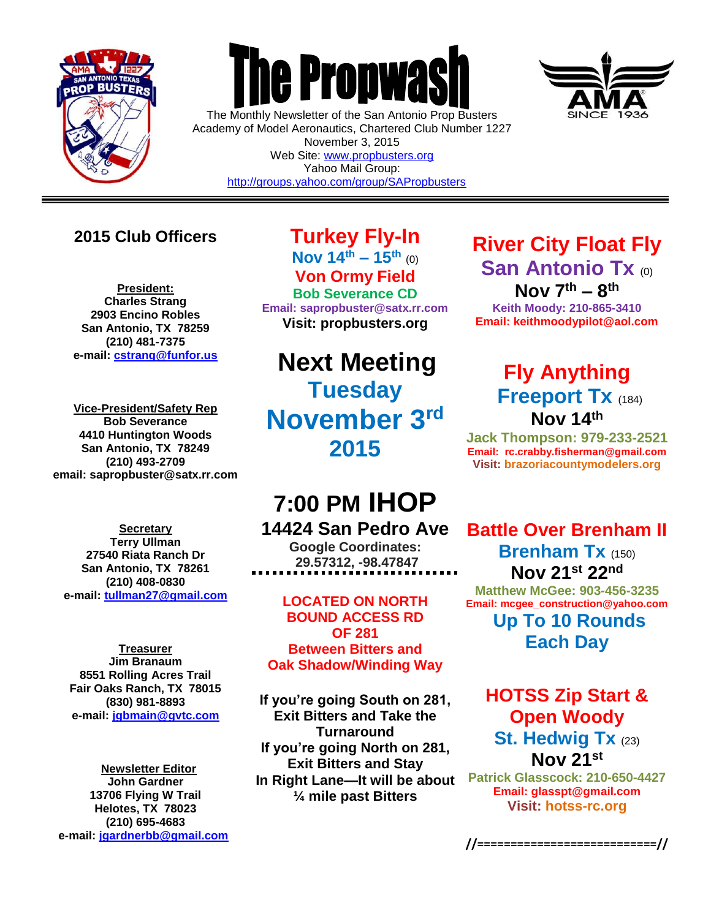

 $\overline{a}$ 

# **The Propwas**

The Monthly Newsletter of the San Antonio Prop Busters Academy of Model Aeronautics, Chartered Club Number 1227 November 3, 2015 Web Site: [www.propbusters.org](http://www.propbusters.org/) Yahoo Mail Group: <http://groups.yahoo.com/group/SAPropbusters>



## **2015 Club Officers**

**President: Charles Strang 2903 Encino Robles San Antonio, TX 78259 (210) 481-7375 e-mail: [cstrang@funfor.us](mailto:cstrang@funfor.us)**

**Vice-President/Safety Rep Bob Severance 4410 Huntington Woods San Antonio, TX 78249 (210) 493-2709 email: sapropbuster@satx.rr.com**

**Secretary Terry Ullman 27540 Riata Ranch Dr San Antonio, TX 78261 (210) 408-0830 e-mail: [tullman27@gmail.com](mailto:tullman27@gmail.com)**

**Treasurer Jim Branaum 8551 Rolling Acres Trail Fair Oaks Ranch, TX 78015 (830) 981-8893 e-mail: [jgbmain@gvtc.com](mailto:jgbmain@gvtc.com)**

**Newsletter Editor John Gardner 13706 Flying W Trail Helotes, TX 78023 (210) 695-4683 e-mail: [jgardnerbb@gmail.com](mailto:jgardnerbb@gmail.com)**

**Turkey Fly-In Nov**  $14^{th} - 15^{th}$  (0) **Von Ormy Field Bob Severance CD Email: sapropbuster@satx.rr.com Visit: propbusters.org**

## **Next Meeting Tuesday November 3rd 2015**

## **7:00 PM IHOP**

### **14424 San Pedro Ave**

**Google Coordinates: 29.57312, -98.47847**

**LOCATED ON NORTH BOUND ACCESS RD OF 281 Between Bitters and Oak Shadow/Winding Way**

**If you're going South on 281, Exit Bitters and Take the Turnaround If you're going North on 281, Exit Bitters and Stay In Right Lane—It will be about ¼ mile past Bitters**

## **River City Float Fly San Antonio Tx (0) Nov 7th – 8 th**

**Keith Moody: 210-865-3410 Email: keithmoodypilot@aol.com**

## **Fly Anything Freeport Tx** (184) **Nov 14th**

**Jack Thompson: 979-233-2521 Email: [rc.crabby.fisherman@gmail.com](mailto:rc.crabby.fisherman@gmail.com) Visit: [brazoriacountymodelers.org](http://www.gamarc.org/)**

## **Battle Over Brenham II Brenham Tx** (150) **Nov 21st 22nd**

**Matthew McGee: 903-456-3235 Email: mcgee\_construction@yahoo.com Up To 10 Rounds Each Day**

## **HOTSS Zip Start & Open Woody St. Hedwig Tx** (23) **Nov 21st**

**Patrick Glasscock: 210-650-4427 Email: [glasspt@gmail.com](mailto:glasspt@gmail.com) Visit: [hotss-rc.org](http://www.gamarc.org/)**

**//===========================//**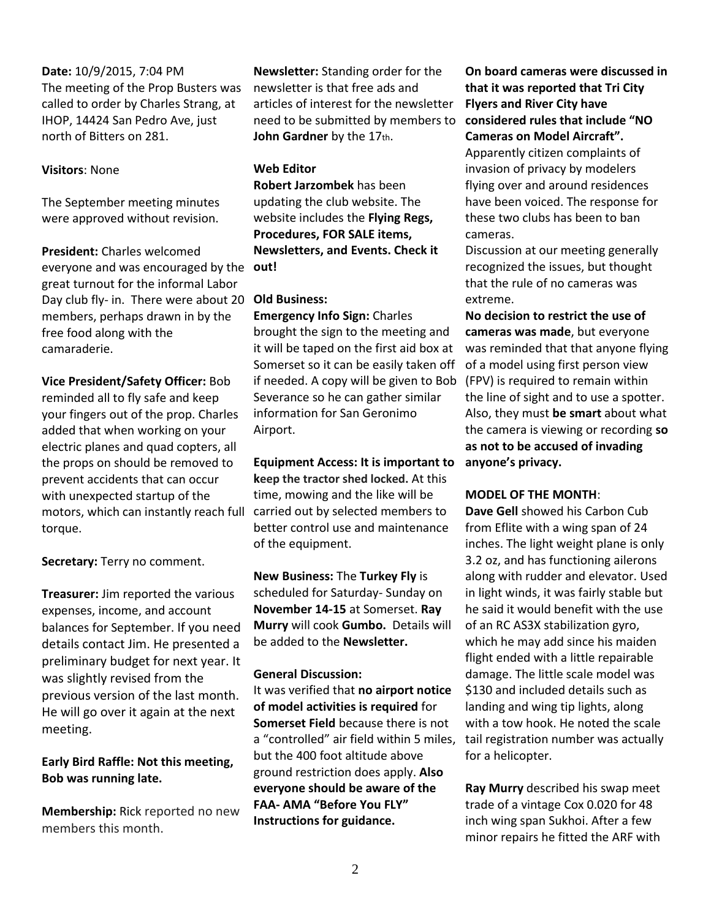#### **Date:** 10/9/2015, 7:04 PM The meeting of the Prop Busters was called to order by Charles Strang, at IHOP, 14424 San Pedro Ave, just north of Bitters on 281.

#### **Visitors**: None

The September meeting minutes were approved without revision.

**President:** Charles welcomed everyone and was encouraged by the **out!**  great turnout for the informal Labor Day club fly- in. There were about 20 **Old Business:**  members, perhaps drawn in by the free food along with the camaraderie.

**Vice President/Safety Officer:** Bob reminded all to fly safe and keep your fingers out of the prop. Charles added that when working on your electric planes and quad copters, all the props on should be removed to prevent accidents that can occur with unexpected startup of the motors, which can instantly reach full torque.

**Secretary:** Terry no comment.

**Treasurer:** Jim reported the various expenses, income, and account balances for September. If you need details contact Jim. He presented a preliminary budget for next year. It was slightly revised from the previous version of the last month. He will go over it again at the next meeting.

**Early Bird Raffle: Not this meeting, Bob was running late.**

**Membership:** Rick reported no new members this month.

**Newsletter:** Standing order for the newsletter is that free ads and articles of interest for the newsletter need to be submitted by members to John Gardner by the 17th.

#### **Web Editor**

**Robert Jarzombek** has been updating the club website. The website includes the **Flying Regs, Procedures, FOR SALE items, Newsletters, and Events. Check it** 

**Emergency Info Sign:** Charles brought the sign to the meeting and it will be taped on the first aid box at Somerset so it can be easily taken off if needed. A copy will be given to Bob Severance so he can gather similar information for San Geronimo Airport.

**Equipment Access: It is important to keep the tractor shed locked.** At this time, mowing and the like will be carried out by selected members to better control use and maintenance of the equipment.

**New Business:** The **Turkey Fly** is scheduled for Saturday- Sunday on **November 14-15** at Somerset. **Ray Murry** will cook **Gumbo.** Details will be added to the **Newsletter.** 

#### **General Discussion:**

It was verified that **no airport notice of model activities is required** for **Somerset Field** because there is not a "controlled" air field within 5 miles, but the 400 foot altitude above ground restriction does apply. **Also everyone should be aware of the FAA- AMA "Before You FLY" Instructions for guidance.**

**On board cameras were discussed in that it was reported that Tri City Flyers and River City have considered rules that include "NO Cameras on Model Aircraft".** 

Apparently citizen complaints of invasion of privacy by modelers flying over and around residences have been voiced. The response for these two clubs has been to ban cameras.

Discussion at our meeting generally recognized the issues, but thought that the rule of no cameras was extreme.

**No decision to restrict the use of cameras was made**, but everyone was reminded that that anyone flying of a model using first person view (FPV) is required to remain within the line of sight and to use a spotter. Also, they must **be smart** about what the camera is viewing or recording **so as not to be accused of invading anyone's privacy.**

#### **MODEL OF THE MONTH**:

**Dave Gell** showed his Carbon Cub from Eflite with a wing span of 24 inches. The light weight plane is only 3.2 oz, and has functioning ailerons along with rudder and elevator. Used in light winds, it was fairly stable but he said it would benefit with the use of an RC AS3X stabilization gyro, which he may add since his maiden flight ended with a little repairable damage. The little scale model was \$130 and included details such as landing and wing tip lights, along with a tow hook. He noted the scale tail registration number was actually for a helicopter.

**Ray Murry** described his swap meet trade of a vintage Cox 0.020 for 48 inch wing span Sukhoi. After a few minor repairs he fitted the ARF with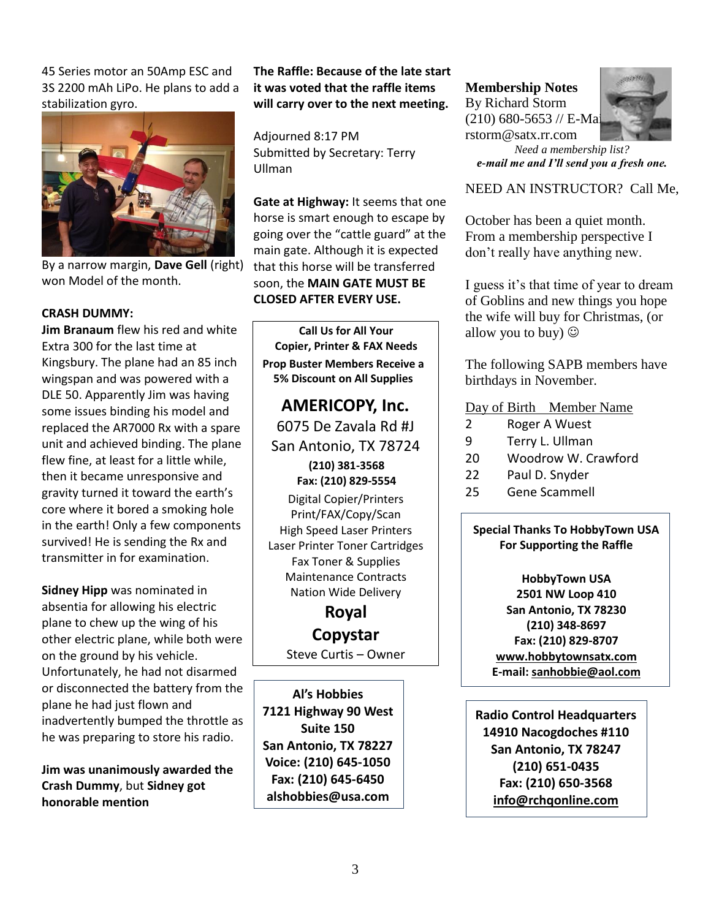45 Series motor an 50Amp ESC and 3S 2200 mAh LiPo. He plans to add a stabilization gyro.



By a narrow margin, **Dave Gell** (right) won Model of the month.

#### **CRASH DUMMY:**

**Jim Branaum** flew his red and white Extra 300 for the last time at Kingsbury. The plane had an 85 inch wingspan and was powered with a DLE 50. Apparently Jim was having some issues binding his model and replaced the AR7000 Rx with a spare unit and achieved binding. The plane flew fine, at least for a little while, then it became unresponsive and gravity turned it toward the earth's core where it bored a smoking hole in the earth! Only a few components survived! He is sending the Rx and transmitter in for examination.

**Sidney Hipp** was nominated in absentia for allowing his electric plane to chew up the wing of his other electric plane, while both were on the ground by his vehicle. Unfortunately, he had not disarmed or disconnected the battery from the plane he had just flown and inadvertently bumped the throttle as he was preparing to store his radio.

**Jim was unanimously awarded the Crash Dummy**, but **Sidney got honorable mention**

**The Raffle: Because of the late start it was voted that the raffle items will carry over to the next meeting.**

Adjourned 8:17 PM Submitted by Secretary: Terry Ullman

**Gate at Highway:** It seems that one horse is smart enough to escape by going over the "cattle guard" at the main gate. Although it is expected that this horse will be transferred soon, the **MAIN GATE MUST BE CLOSED AFTER EVERY USE.**

**Call Us for All Your Copier, Printer & FAX Needs Prop Buster Members Receive a 5% Discount on All Supplies**

**AMERICOPY, Inc.** 6075 De Zavala Rd #J San Antonio, TX 78724 **(210) 381-3568 Fax: (210) 829-5554**

Digital Copier/Printers Print/FAX/Copy/Scan High Speed Laser Printers Laser Printer Toner Cartridges Fax Toner & Supplies Maintenance Contracts Nation Wide Delivery

## **Royal**

## **Copystar**

Steve Curtis – Owner

**Al's Hobbies 7121 Highway 90 West Suite 150 San Antonio, TX 78227 Voice: (210) 645-1050 Fax: (210) 645-6450 alshobbies@usa.com**

**Membership Notes** By Richard Storm  $(210)$  680-5653 // E-Ma rstorm@satx.rr.com



*Need a membership list? e-mail me and I'll send you a fresh one.*

#### NEED AN INSTRUCTOR? Call Me,

October has been a quiet month. From a membership perspective I don't really have anything new.

I guess it's that time of year to dream of Goblins and new things you hope the wife will buy for Christmas, (or allow you to buy)  $\odot$ 

The following SAPB members have birthdays in November.

#### Day of Birth Member Name

- 2 Roger A Wuest
- 9 Terry L. Ullman
- 20 Woodrow W. Crawford
- 22 Paul D. Snyder
- 25 Gene Scammell

**Special Thanks To HobbyTown USA For Supporting the Raffle**

**HobbyTown USA 2501 NW Loop 410 San Antonio, TX 78230 (210) 348-8697 Fax: (210) 829-8707 [www.hobbytownsatx.com](http://www.hobbytownsatx.com/) E-mail: [sanhobbie@aol.com](mailto:sanhobbie@aol.com)**

**Radio Control Headquarters 14910 Nacogdoches #110 San Antonio, TX 78247 (210) 651-0435 Fax: (210) 650-3568 [info@rchqonline.com](mailto:info@rchqonline.com)**